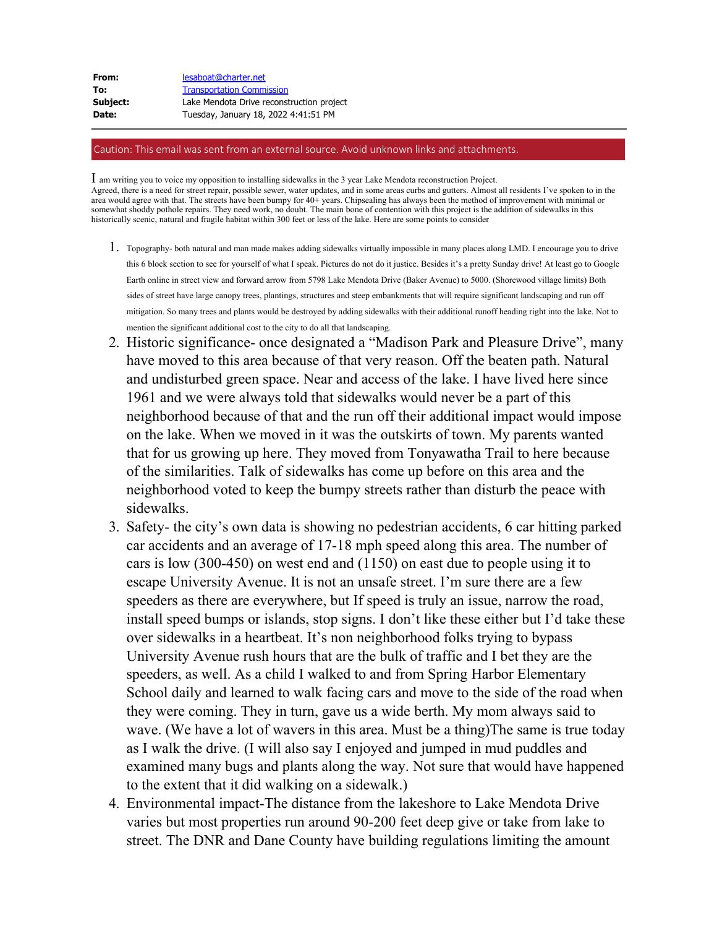| From:    | lesaboat@charter.net                      |
|----------|-------------------------------------------|
| To:      | <b>Transportation Commission</b>          |
| Subject: | Lake Mendota Drive reconstruction project |
| Date:    | Tuesday, January 18, 2022 4:41:51 PM      |

## Caution: This email was sent from an external source. Avoid unknown links and attachments.

I am writing you to voice my opposition to installing sidewalks in the 3 year Lake Mendota reconstruction Project. Agreed, there is a need for street repair, possible sewer, water updates, and in some areas curbs and gutters. Almost all residents I've spoken to in the area would agree with that. The streets have been bumpy for 40+ years. Chipsealing has always been the method of improvement with minimal or somewhat shoddy pothole repairs. They need work, no doubt. The main bone of contention with this project is the addition of sidewalks in this historically scenic, natural and fragile habitat within 300 feet or less of the lake. Here are some points to consider

- 1. Topography- both natural and man made makes adding sidewalks virtually impossible in many places along LMD. I encourage you to drive this 6 block section to see for yourself of what I speak. Pictures do not do it justice. Besides it's a pretty Sunday drive! At least go to Google Earth online in street view and forward arrow from 5798 Lake Mendota Drive (Baker Avenue) to 5000. (Shorewood village limits) Both sides of street have large canopy trees, plantings, structures and steep embankments that will require significant landscaping and run off mitigation. So many trees and plants would be destroyed by adding sidewalks with their additional runoff heading right into the lake. Not to mention the significant additional cost to the city to do all that landscaping.
- 2. Historic significance- once designated a "Madison Park and Pleasure Drive", many have moved to this area because of that very reason. Off the beaten path. Natural and undisturbed green space. Near and access of the lake. I have lived here since 1961 and we were always told that sidewalks would never be a part of this neighborhood because of that and the run off their additional impact would impose on the lake. When we moved in it was the outskirts of town. My parents wanted that for us growing up here. They moved from Tonyawatha Trail to here because of the similarities. Talk of sidewalks has come up before on this area and the neighborhood voted to keep the bumpy streets rather than disturb the peace with sidewalks.
- 3. Safety- the city's own data is showing no pedestrian accidents, 6 car hitting parked car accidents and an average of 17-18 mph speed along this area. The number of cars is low (300-450) on west end and (1150) on east due to people using it to escape University Avenue. It is not an unsafe street. I'm sure there are a few speeders as there are everywhere, but If speed is truly an issue, narrow the road, install speed bumps or islands, stop signs. I don't like these either but I'd take these over sidewalks in a heartbeat. It's non neighborhood folks trying to bypass University Avenue rush hours that are the bulk of traffic and I bet they are the speeders, as well. As a child I walked to and from Spring Harbor Elementary School daily and learned to walk facing cars and move to the side of the road when they were coming. They in turn, gave us a wide berth. My mom always said to wave. (We have a lot of wavers in this area. Must be a thing)The same is true today as I walk the drive. (I will also say I enjoyed and jumped in mud puddles and examined many bugs and plants along the way. Not sure that would have happened to the extent that it did walking on a sidewalk.)
- 4. Environmental impact-The distance from the lakeshore to Lake Mendota Drive varies but most properties run around 90-200 feet deep give or take from lake to street. The DNR and Dane County have building regulations limiting the amount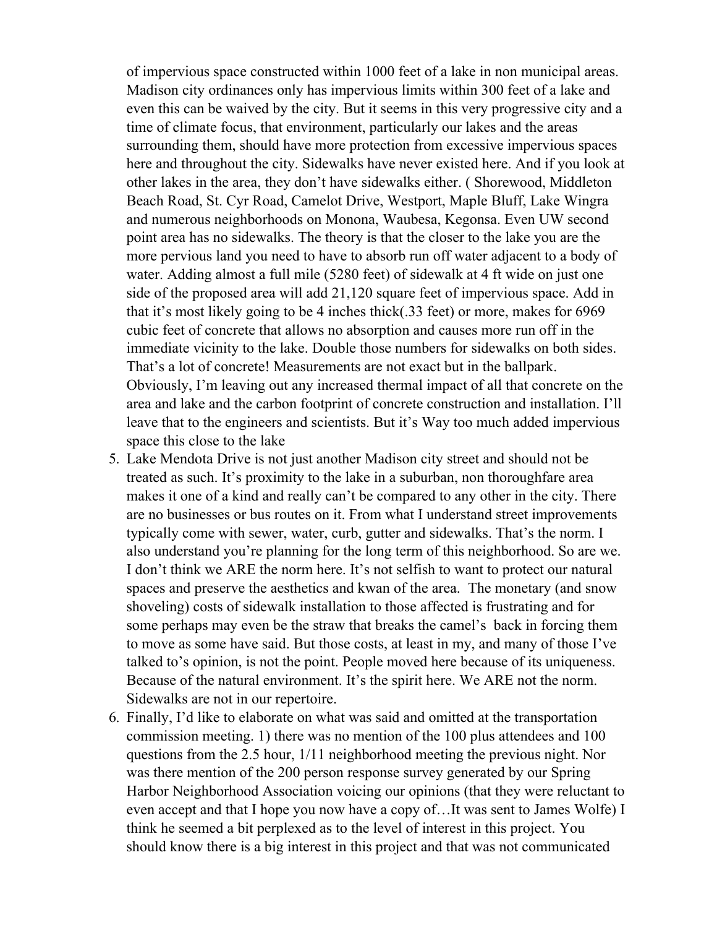of impervious space constructed within 1000 feet of a lake in non municipal areas. Madison city ordinances only has impervious limits within 300 feet of a lake and even this can be waived by the city. But it seems in this very progressive city and a time of climate focus, that environment, particularly our lakes and the areas surrounding them, should have more protection from excessive impervious spaces here and throughout the city. Sidewalks have never existed here. And if you look at other lakes in the area, they don't have sidewalks either. ( Shorewood, Middleton Beach Road, St. Cyr Road, Camelot Drive, Westport, Maple Bluff, Lake Wingra and numerous neighborhoods on Monona, Waubesa, Kegonsa. Even UW second point area has no sidewalks. The theory is that the closer to the lake you are the more pervious land you need to have to absorb run off water adjacent to a body of water. Adding almost a full mile (5280 feet) of sidewalk at 4 ft wide on just one side of the proposed area will add 21,120 square feet of impervious space. Add in that it's most likely going to be 4 inches thick(.33 feet) or more, makes for 6969 cubic feet of concrete that allows no absorption and causes more run off in the immediate vicinity to the lake. Double those numbers for sidewalks on both sides. That's a lot of concrete! Measurements are not exact but in the ballpark. Obviously, I'm leaving out any increased thermal impact of all that concrete on the area and lake and the carbon footprint of concrete construction and installation. I'll leave that to the engineers and scientists. But it's Way too much added impervious space this close to the lake

- 5. Lake Mendota Drive is not just another Madison city street and should not be treated as such. It's proximity to the lake in a suburban, non thoroughfare area makes it one of a kind and really can't be compared to any other in the city. There are no businesses or bus routes on it. From what I understand street improvements typically come with sewer, water, curb, gutter and sidewalks. That's the norm. I also understand you're planning for the long term of this neighborhood. So are we. I don't think we ARE the norm here. It's not selfish to want to protect our natural spaces and preserve the aesthetics and kwan of the area. The monetary (and snow shoveling) costs of sidewalk installation to those affected is frustrating and for some perhaps may even be the straw that breaks the camel's back in forcing them to move as some have said. But those costs, at least in my, and many of those I've talked to's opinion, is not the point. People moved here because of its uniqueness. Because of the natural environment. It's the spirit here. We ARE not the norm. Sidewalks are not in our repertoire.
- 6. Finally, I'd like to elaborate on what was said and omitted at the transportation commission meeting. 1) there was no mention of the 100 plus attendees and 100 questions from the 2.5 hour, 1/11 neighborhood meeting the previous night. Nor was there mention of the 200 person response survey generated by our Spring Harbor Neighborhood Association voicing our opinions (that they were reluctant to even accept and that I hope you now have a copy of…It was sent to James Wolfe) I think he seemed a bit perplexed as to the level of interest in this project. You should know there is a big interest in this project and that was not communicated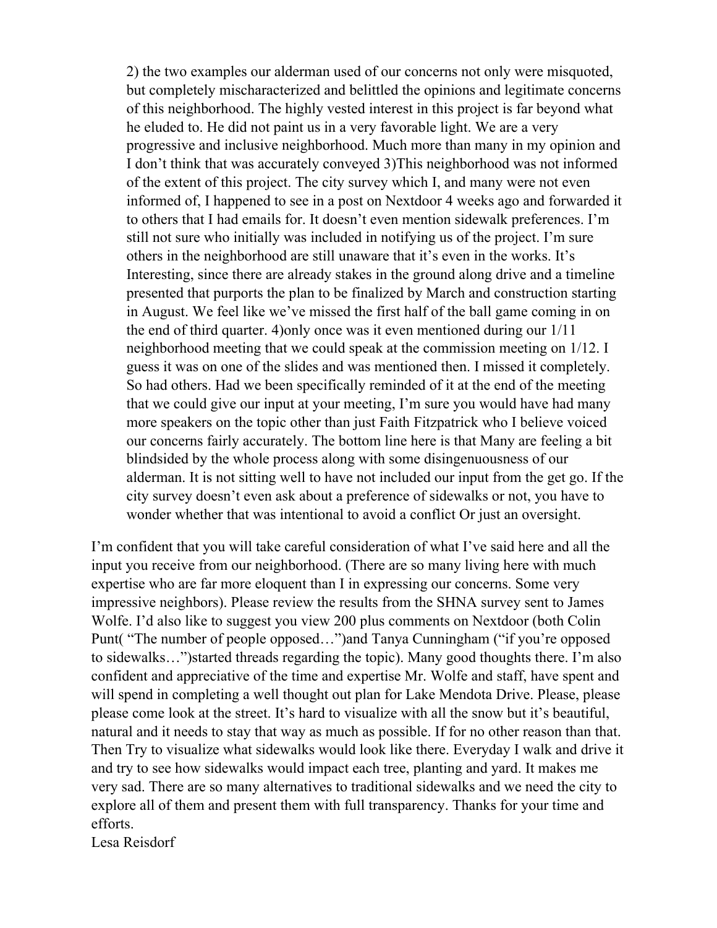2) the two examples our alderman used of our concerns not only were misquoted, but completely mischaracterized and belittled the opinions and legitimate concerns of this neighborhood. The highly vested interest in this project is far beyond what he eluded to. He did not paint us in a very favorable light. We are a very progressive and inclusive neighborhood. Much more than many in my opinion and I don't think that was accurately conveyed 3)This neighborhood was not informed of the extent of this project. The city survey which I, and many were not even informed of, I happened to see in a post on Nextdoor 4 weeks ago and forwarded it to others that I had emails for. It doesn't even mention sidewalk preferences. I'm still not sure who initially was included in notifying us of the project. I'm sure others in the neighborhood are still unaware that it's even in the works. It's Interesting, since there are already stakes in the ground along drive and a timeline presented that purports the plan to be finalized by March and construction starting in August. We feel like we've missed the first half of the ball game coming in on the end of third quarter. 4)only once was it even mentioned during our 1/11 neighborhood meeting that we could speak at the commission meeting on 1/12. I guess it was on one of the slides and was mentioned then. I missed it completely. So had others. Had we been specifically reminded of it at the end of the meeting that we could give our input at your meeting, I'm sure you would have had many more speakers on the topic other than just Faith Fitzpatrick who I believe voiced our concerns fairly accurately. The bottom line here is that Many are feeling a bit blindsided by the whole process along with some disingenuousness of our alderman. It is not sitting well to have not included our input from the get go. If the city survey doesn't even ask about a preference of sidewalks or not, you have to wonder whether that was intentional to avoid a conflict Or just an oversight.

I'm confident that you will take careful consideration of what I've said here and all the input you receive from our neighborhood. (There are so many living here with much expertise who are far more eloquent than I in expressing our concerns. Some very impressive neighbors). Please review the results from the SHNA survey sent to James Wolfe. I'd also like to suggest you view 200 plus comments on Nextdoor (both Colin Punt( "The number of people opposed…")and Tanya Cunningham ("if you're opposed to sidewalks…")started threads regarding the topic). Many good thoughts there. I'm also confident and appreciative of the time and expertise Mr. Wolfe and staff, have spent and will spend in completing a well thought out plan for Lake Mendota Drive. Please, please please come look at the street. It's hard to visualize with all the snow but it's beautiful, natural and it needs to stay that way as much as possible. If for no other reason than that. Then Try to visualize what sidewalks would look like there. Everyday I walk and drive it and try to see how sidewalks would impact each tree, planting and yard. It makes me very sad. There are so many alternatives to traditional sidewalks and we need the city to explore all of them and present them with full transparency. Thanks for your time and efforts.

Lesa Reisdorf